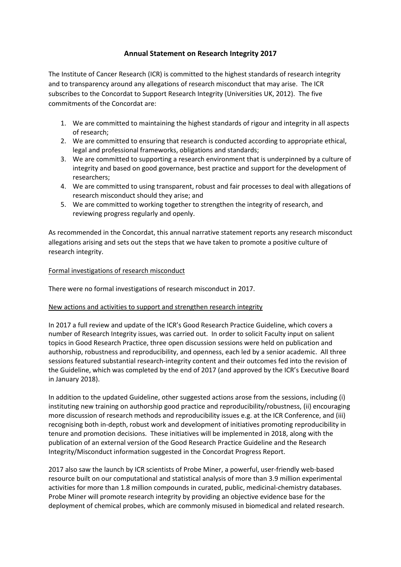## **Annual Statement on Research Integrity 2017**

The Institute of Cancer Research (ICR) is committed to the highest standards of research integrity and to transparency around any allegations of research misconduct that may arise. The ICR subscribes to the Concordat to Support Research Integrity (Universities UK, 2012). The five commitments of the Concordat are:

- 1. We are committed to maintaining the highest standards of rigour and integrity in all aspects of research;
- 2. We are committed to ensuring that research is conducted according to appropriate ethical, legal and professional frameworks, obligations and standards;
- 3. We are committed to supporting a research environment that is underpinned by a culture of integrity and based on good governance, best practice and support for the development of researchers;
- 4. We are committed to using transparent, robust and fair processes to deal with allegations of research misconduct should they arise; and
- 5. We are committed to working together to strengthen the integrity of research, and reviewing progress regularly and openly.

As recommended in the Concordat, this annual narrative statement reports any research misconduct allegations arising and sets out the steps that we have taken to promote a positive culture of research integrity.

## Formal investigations of research misconduct

There were no formal investigations of research misconduct in 2017.

## New actions and activities to support and strengthen research integrity

In 2017 a full review and update of the ICR's Good Research Practice Guideline, which covers a number of Research Integrity issues, was carried out. In order to solicit Faculty input on salient topics in Good Research Practice, three open discussion sessions were held on publication and authorship, robustness and reproducibility, and openness, each led by a senior academic. All three sessions featured substantial research-integrity content and their outcomes fed into the revision of the Guideline, which was completed by the end of 2017 (and approved by the ICR's Executive Board in January 2018).

In addition to the updated Guideline, other suggested actions arose from the sessions, including (i) instituting new training on authorship good practice and reproducibility/robustness, (ii) encouraging more discussion of research methods and reproducibility issues e.g. at the ICR Conference, and (iii) recognising both in-depth, robust work and development of initiatives promoting reproducibility in tenure and promotion decisions. These initiatives will be implemented in 2018, along with the publication of an external version of the Good Research Practice Guideline and the Research Integrity/Misconduct information suggested in the Concordat Progress Report.

2017 also saw the launch by ICR scientists of Probe Miner, a powerful, user-friendly web-based resource built on our computational and statistical analysis of more than 3.9 million experimental activities for more than 1.8 million compounds in curated, public, medicinal-chemistry databases. Probe Miner will promote research integrity by providing an objective evidence base for the deployment of chemical probes, which are commonly misused in biomedical and related research.